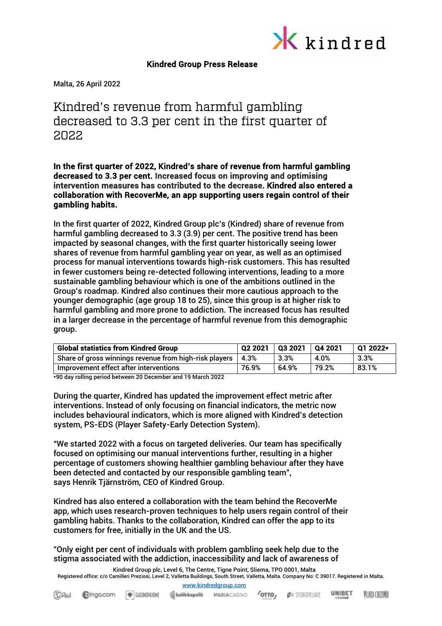

## Kindred Group Press Release

Malta, 26 April 2022

# Kindred's revenue from harmful gambling decreased to 3.3 per cent in the first quarter of 2022

In the first quarter of 2022, Kindred's share of revenue from harmful gambling decreased to 3.3 per cent. Increased focus on improving and optimising intervention measures has contributed to the decrease. Kindred also entered a collaboration with RecoverMe, an app supporting users regain control of their gambling habits.

In the first quarter of 2022, Kindred Group plc's (Kindred) share of revenue from harmful gambling decreased to 3.3 (3.9) per cent. The positive trend has been impacted by seasonal changes, with the first quarter historically seeing lower shares of revenue from harmful gambling year on year, as well as an optimised process for manual interventions towards high-risk customers. This has resulted in fewer customers being re-detected following interventions, leading to a more sustainable gambling behaviour which is one of the ambitions outlined in the Group's roadmap. Kindred also continues their more cautious approach to the younger demographic (age group 18 to 25), since this group is at higher risk to harmful gambling and more prone to addiction. The increased focus has resulted in a larger decrease in the percentage of harmful revenue from this demographic group.

| <b>Global statistics from Kindred Group</b>            | 02 2021 | Q3 2021 | Q4 2021 | $012022*$ |
|--------------------------------------------------------|---------|---------|---------|-----------|
| Share of gross winnings revenue from high-risk players | 4.3%    | 3.3%    | 4.0%    | 3.3%      |
| Improvement effect after interventions                 | 76.9%   | 64.9%   | 79.2%   | 83.1%     |

\*90 day rolling period between 20 December and 19 March 2022

During the quarter, Kindred has updated the improvement effect metric after interventions. Instead of only focusing on financial indicators, the metric now includes behavioural indicators, which is more aligned with Kindred's detection system, PS-EDS (Player Safety-Early Detection System).

"We started 2022 with a focus on targeted deliveries. Our team has specifically focused on optimising our manual interventions further, resulting in a higher percentage of customers showing healthier gambling behaviour after they have been detected and contacted by our responsible gambling team", says Henrik Tjärnström, CEO of Kindred Group.

Kindred has also entered a collaboration with the team behind the RecoverMe app, which uses research-proven techniques to help users regain control of their gambling habits. Thanks to the collaboration, Kindred can offer the app to its customers for free, initially in the UK and the US.

"Only eight per cent of individuals with problem gambling seek help due to the stigma associated with the addiction, inaccessibility and lack of awareness of

Kindred Group plc, Level 6, The Centre, Tigne Point, Sliema, TPO 0001, Malta Registered office: c/o Camilleri Preziosi, Level 2, Valletta Buildings, South Street, Valletta, Malta. Company No: C 39017. Registered in Malta.